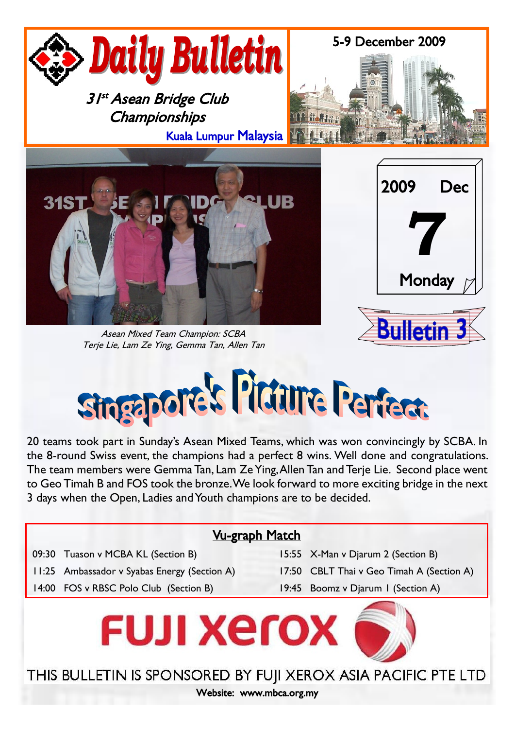

Asean Mixed Team Champion: SCBA Terje Lie, Lam Ze Ying, Gemma Tan, Allen Tan





20 teams took part in Sunday's Asean Mixed Teams, which was won convincingly by SCBA. In the 8-round Swiss event, the champions had a perfect 8 wins. Well done and congratulations. The team members were Gemma Tan, Lam Ze Ying, Allen Tan and Terje Lie. Second place went to Geo Timah B and FOS took the bronze. We look forward to more exciting bridge in the next 3 days when the Open, Ladies and Youth champions are to be decided.

# Vu-graph Match

09:30 Tuason v MCBA KL (Section B) 15:55 X-Man v Diarum 2 (Section B)

14:00 FOS v RBSC Polo Club (Section B) 19:45 Boomz v Djarum 1 (Section A)

- 
- 11:25 Ambassador v Syabas Energy (Section A) 17:50 CBLT Thai v Geo Timah A (Section A)
	-



THIS BULLETIN IS SPONSORED BY FUJI XEROX ASIA PACIFIC PTE LTD

Website: www.mbca.org.my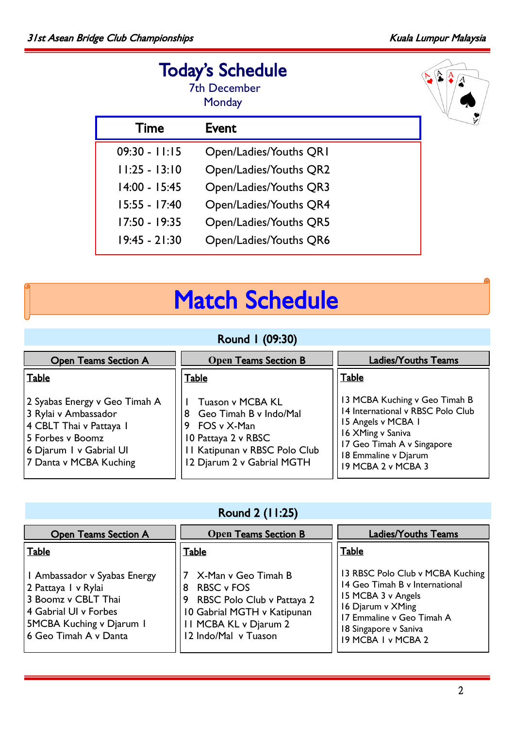$\sqrt{\frac{A}{2}}$ 

# Today's Schedule

|                 | <b>7th December</b><br>Monday |
|-----------------|-------------------------------|
| Time            | Event                         |
| $09:30 - 11:15$ | Open/Ladies/Youths QRI        |
| $11:25 - 13:10$ | Open/Ladies/Youths QR2        |
| $14:00 - 15:45$ | Open/Ladies/Youths QR3        |
| $15:55 - 17:40$ | Open/Ladies/Youths QR4        |
| $17:50 - 19:35$ | Open/Ladies/Youths QR5        |
| $19:45 - 21:30$ | Open/Ladies/Youths QR6        |

# Match Schedule

# Round 1 (09:30)

| <b>Open Teams Section A</b>                                                                                                                               | <b>Open Teams Section B</b>                                                                                                                            | <b>Ladies/Youths Teams</b>                                                                                                                                                                |
|-----------------------------------------------------------------------------------------------------------------------------------------------------------|--------------------------------------------------------------------------------------------------------------------------------------------------------|-------------------------------------------------------------------------------------------------------------------------------------------------------------------------------------------|
| <b>Table</b>                                                                                                                                              | Table                                                                                                                                                  | Table                                                                                                                                                                                     |
| 2 Syabas Energy v Geo Timah A<br>3 Rylai v Ambassador<br>4 CBLT Thai v Pattaya I<br>5 Forbes v Boomz<br>6 Djarum I v Gabrial UI<br>7 Danta v MCBA Kuching | Tuason v MCBA KL<br>Geo Timah B v Indo/Mal<br>8<br>9 FOS v X-Man<br>10 Pattaya 2 v RBSC<br>11 Katipunan v RBSC Polo Club<br>12 Djarum 2 v Gabrial MGTH | 13 MCBA Kuching v Geo Timah B<br>14 International v RBSC Polo Club<br>15 Angels v MCBA 1<br>16 XMing v Saniva<br>17 Geo Timah A v Singapore<br>18 Emmaline v Djarum<br>19 MCBA 2 v MCBA 3 |

# Round 2 (11:25)

| <b>Open Teams Section A</b>                                                                                                                                     | <b>Open Teams Section B</b>                                                                                                                                             | <b>Ladies/Youths Teams</b>                                                                                                                                                                |
|-----------------------------------------------------------------------------------------------------------------------------------------------------------------|-------------------------------------------------------------------------------------------------------------------------------------------------------------------------|-------------------------------------------------------------------------------------------------------------------------------------------------------------------------------------------|
| <b>Table</b>                                                                                                                                                    | <b>Table</b>                                                                                                                                                            | Table                                                                                                                                                                                     |
| I Ambassador v Syabas Energy<br>2 Pattaya I v Rylai<br>3 Boomz v CBLT Thai<br>4 Gabrial UI v Forbes<br><b>5MCBA Kuching v Djarum I</b><br>6 Geo Timah A v Danta | X-Man v Geo Timah B<br><b>RBSC v FOS</b><br>8<br>RBSC Polo Club v Pattaya 2<br>9<br>10 Gabrial MGTH v Katipunan<br><b>II MCBA KL v Djarum 2</b><br>12 Indo/Mal v Tuason | 13 RBSC Polo Club v MCBA Kuching<br>14 Geo Timah B v International<br>15 MCBA 3 v Angels<br>16 Djarum v XMing<br>17 Emmaline v Geo Timah A<br>18 Singapore v Saniva<br>19 MCBA I v MCBA 2 |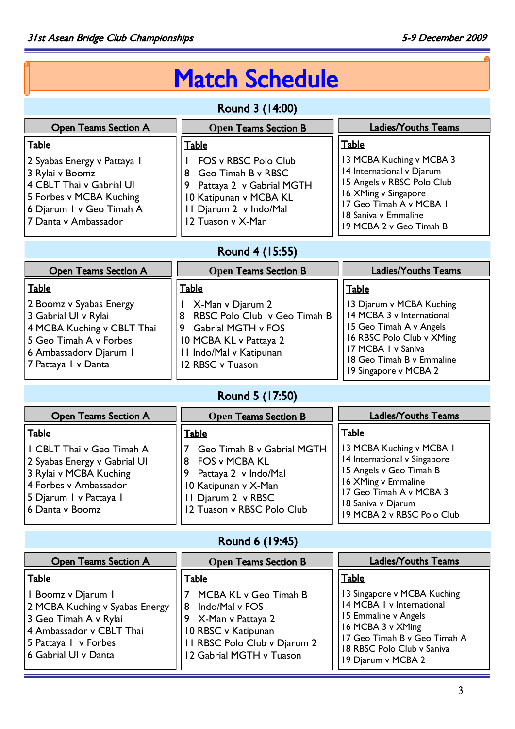# Match Schedule

# Round 3 (14:00)

| <b>Open Teams Section A</b>                                                                                                                               | <b>Open Teams Section B</b>                                                                                                                               | <b>Ladies/Youths Teams</b>                                                                                                                                                                |
|-----------------------------------------------------------------------------------------------------------------------------------------------------------|-----------------------------------------------------------------------------------------------------------------------------------------------------------|-------------------------------------------------------------------------------------------------------------------------------------------------------------------------------------------|
| Table                                                                                                                                                     | <b>Table</b>                                                                                                                                              | Table                                                                                                                                                                                     |
| 2 Syabas Energy v Pattaya 1<br>3 Rylai v Boomz<br>4 CBLT Thai v Gabrial UI<br>5 Forbes v MCBA Kuching<br>6 Djarum I v Geo Timah A<br>7 Danta v Ambassador | FOS v RBSC Polo Club<br>Geo Timah B v RBSC<br>8<br>Pattaya 2 v Gabrial MGTH<br>9<br>10 Katipunan v MCBA KL<br>11 Djarum 2 v Indo/Mal<br>12 Tuason v X-Man | 13 MCBA Kuching v MCBA 3<br>14 International v Djarum<br>15 Angels v RBSC Polo Club<br>16 XMing v Singapore<br>17 Geo Timah A v MCBA 1<br>18 Saniva v Emmaline<br>19 MCBA 2 v Geo Timah B |

# Round 4 (15:55)

| <b>Open Teams Section A</b>                                                                                                                              | <b>Open Teams Section B</b>                                                                                                                               | <b>Ladies/Youths Teams</b>                                                                                                                                                                |
|----------------------------------------------------------------------------------------------------------------------------------------------------------|-----------------------------------------------------------------------------------------------------------------------------------------------------------|-------------------------------------------------------------------------------------------------------------------------------------------------------------------------------------------|
| <b>Table</b>                                                                                                                                             | Table                                                                                                                                                     | Table                                                                                                                                                                                     |
| 2 Boomz v Syabas Energy<br>3 Gabrial UI v Rylai<br>4 MCBA Kuching v CBLT Thai<br>5 Geo Timah A v Forbes<br>6 Ambassadorv Djarum I<br>7 Pattaya I v Danta | X-Man v Djarum 2<br>RBSC Polo Club v Geo Timah B<br>8<br>Gabrial MGTH v FOS<br>9<br>10 MCBA KL v Pattaya 2<br>II Indo/Mal v Katipunan<br>12 RBSC v Tuason | 13 Djarum v MCBA Kuching<br>14 MCBA 3 v International<br>15 Geo Timah A v Angels<br>16 RBSC Polo Club v XMing<br>17 MCBA I v Saniva<br>18 Geo Timah B v Emmaline<br>19 Singapore v MCBA 2 |

# Round 5 (17:50)

| <b>Open Teams Section A</b>                                                                                                                               | <b>Open Teams Section B</b>                                                                                                                                 | <b>Ladies/Youths Teams</b>                                                                                                                                                                |
|-----------------------------------------------------------------------------------------------------------------------------------------------------------|-------------------------------------------------------------------------------------------------------------------------------------------------------------|-------------------------------------------------------------------------------------------------------------------------------------------------------------------------------------------|
| <b>Table</b>                                                                                                                                              | <b>Table</b>                                                                                                                                                | <b>Table</b>                                                                                                                                                                              |
| I CBLT Thai v Geo Timah A<br>2 Syabas Energy v Gabrial UI<br>3 Rylai v MCBA Kuching<br>4 Forbes v Ambassador<br>5 Djarum I v Pattaya I<br>6 Danta y Boomz | Geo Timah B v Gabrial MGTH<br><b>FOS v MCBA KL</b><br>8<br>Pattaya 2 v Indo/Mal<br>10 Katipunan v X-Man<br>II Djarum 2 v RBSC<br>12 Tuason v RBSC Polo Club | 13 MCBA Kuching v MCBA 1<br>14 International v Singapore<br>15 Angels v Geo Timah B<br>16 XMing v Emmaline<br>17 Geo Timah A v MCBA 3<br>18 Saniva v Djarum<br>19 MCBA 2 v RBSC Polo Club |

# Round 6 (19:45)

| <b>Open Teams Section A</b>                                                                                                                               | <b>Open Teams Section B</b>                                                                                                                            | <b>Ladies/Youths Teams</b>                                                                                                                                                                |
|-----------------------------------------------------------------------------------------------------------------------------------------------------------|--------------------------------------------------------------------------------------------------------------------------------------------------------|-------------------------------------------------------------------------------------------------------------------------------------------------------------------------------------------|
| <b>Table</b>                                                                                                                                              | Table                                                                                                                                                  | <b>Table</b>                                                                                                                                                                              |
| I Boomz v Djarum I<br>2 MCBA Kuching v Syabas Energy<br>3 Geo Timah A v Rylai<br>4 Ambassador v CBLT Thai<br>5 Pattaya I v Forbes<br>6 Gabrial UI v Danta | MCBA KL v Geo Timah B<br>Indo/Mal v FOS<br>8<br>9 X-Man v Pattaya 2<br>10 RBSC v Katipunan<br>II RBSC Polo Club v Djarum 2<br>12 Gabrial MGTH v Tuason | 13 Singapore v MCBA Kuching<br>14 MCBA I v International<br>15 Emmaline v Angels<br>16 MCBA 3 v XMing<br>17 Geo Timah B v Geo Timah A<br>18 RBSC Polo Club v Saniva<br>19 Djarum v MCBA 2 |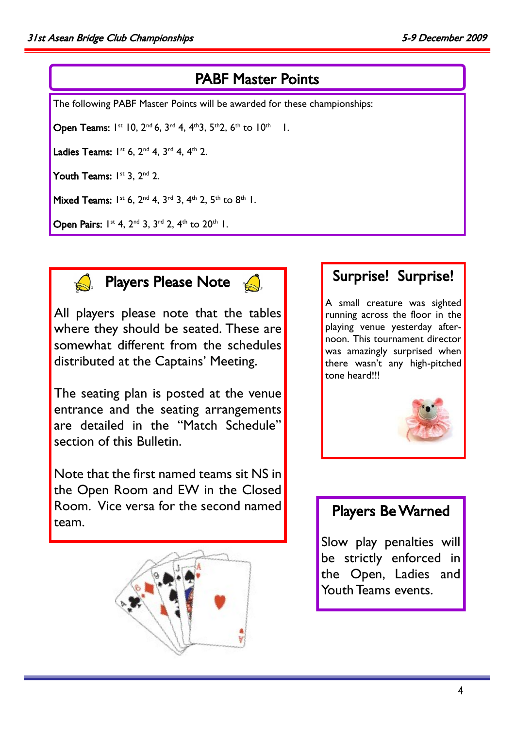## PABF Master Points

The following PABF Master Points will be awarded for these championships:

Open Teams:  $1^{st}$  10,  $2^{nd}$  6,  $3^{rd}$  4,  $4^{th}$ 3,  $5^{th}$ 2, 6<sup>th</sup> to  $10^{th}$  1.

Ladies Teams:  $I^{st}$  6,  $2^{nd}$  4,  $3^{rd}$  4,  $4^{th}$  2.

Youth Teams:  $I^{st}$  3,  $2^{nd}$  2.

Mixed Teams:  $1^{st}$  6,  $2^{nd}$  4,  $3^{rd}$  3,  $4^{th}$  2,  $5^{th}$  to  $8^{th}$  1.

Open Pairs:  $1^{st}$  4,  $2^{nd}$  3,  $3^{rd}$  2,  $4^{th}$  to  $20^{th}$  1.



**A** Players Please Note

All players please note that the tables where they should be seated. These are somewhat different from the schedules distributed at the Captains' Meeting.

The seating plan is posted at the venue entrance and the seating arrangements are detailed in the "Match Schedule" section of this Bulletin.

Note that the first named teams sit NS in the Open Room and EW in the Closed Room. Vice versa for the second named team.



### Surprise! Surprise!

A small creature was sighted running across the floor in the playing venue yesterday afternoon. This tournament director was amazingly surprised when there wasn't any high-pitched tone heard!!!



# Players Be Warned

Slow play penalties will be strictly enforced in the Open, Ladies and Youth Teams events.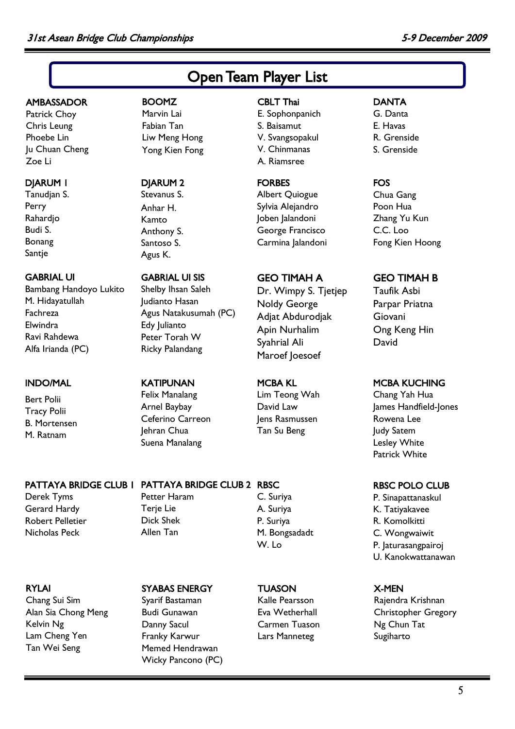# Open Team Player List

#### **AMBASSADOR**

Patrick Choy Chris Leung Phoebe Lin Ju Chuan Cheng Zoe Li

### DJARUM 1

Tanudjan S. Perry Rahardjo Budi S. Bonang Santje

### GABRIAL UI

Bambang Handoyo Lukito M. Hidayatullah Fachreza Elwindra Ravi Rahdewa Alfa Irianda (PC)

### INDO/MAL

Bert Polii Tracy Polii B. Mortensen M. Ratnam

Derek Tyms Gerard Hardy Robert Pelletier Nicholas Peck

### RYLAI

Chang Sui Sim Alan Sia Chong Meng Kelvin Ng Lam Cheng Yen Tan Wei Seng

### BOOMZ Marvin Lai

Fabian Tan Liw Meng Hong Yong Kien Fong

### DJARUM 2

Stevanus S. Anhar H. Kamto Anthony S. Santoso S. Agus K.

### GABRIAL UI SIS

Shelby Ihsan Saleh Judianto Hasan Agus Natakusumah (PC) Edy Julianto Peter Torah W Ricky Palandang

### KATIPUNAN

Felix Manalang Arnel Baybay Ceferino Carreon Jehran Chua Suena Manalang

# PATTAYA BRIDGE CLUB 1 PATTAYA BRIDGE CLUB 2 RBSC

Petter Haram Terje Lie Dick Shek Allen Tan

### SYABAS ENERGY

Syarif Bastaman Budi Gunawan Danny Sacul Franky Karwur Memed Hendrawan Wicky Pancono (PC)

### CBLT Thai

E. Sophonpanich S. Baisamut V. Svangsopakul V. Chinmanas A. Riamsree

### FORBES

Albert Quiogue Sylvia Alejandro Joben Jalandoni George Francisco Carmina Jalandoni

### GEO TIMAH A

Dr. Wimpy S. Tjetjep Noldy George Adjat Abdurodjak Apin Nurhalim Syahrial Ali Maroef Joesoef

### MCBA KL

Lim Teong Wah David Law Jens Rasmussen Tan Su Beng

# C. Suriya A. Suriya

P. Suriya M. Bongsadadt W. Lo

### **TUASON**

Kalle Pearsson Eva Wetherhall Carmen Tuason Lars Manneteg

### **DANTA**

- G. Danta E. Havas
- R. Grenside
- S. Grenside

### FOS

Chua Gang Poon Hua Zhang Yu Kun C.C. Loo Fong Kien Hoong

### GEO TIMAH B

Taufik Asbi Parpar Priatna Giovani Ong Keng Hin David

### MCBA KUCHING

Chang Yah Hua James Handfield-Jones Rowena Lee Judy Satem Lesley White Patrick White

### RBSC POLO CLUB

P. Sinapattanaskul K. Tatiyakavee R. Komolkitti C. Wongwaiwit P. Jaturasangpairoj U. Kanokwattanawan

### X-MEN

Rajendra Krishnan Christopher Gregory Ng Chun Tat Sugiharto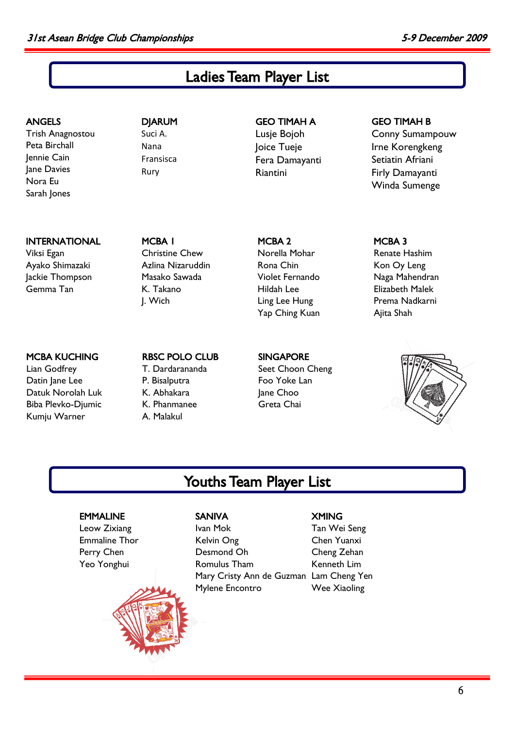# Ladies Team Player List

### ANGELS

Trish Anagnostou Peta Birchall Jennie Cain Jane Davies Nora Eu Sarah Jones

### INTERNATIONAL

Viksi Egan Ayako Shimazaki Jackie Thompson Gemma Tan

### DJARUM Suci A. Nana Fransisca Rury

### GEO TIMAH A Lusje Bojoh Joice Tueje Fera Damayanti

Riantini

### GEO TIMAH B

Conny Sumampouw Irne Korengkeng Setiatin Afriani Firly Damayanti Winda Sumenge

MCBA 1 Christine Chew Azlina Nizaruddin Masako Sawada K. Takano J. Wich

### MCBA 2 Norella Mohar Rona Chin Violet Fernando Hildah Lee Ling Lee Hung Yap Ching Kuan

### MCBA KUCHING

Lian Godfrey Datin Jane Lee Datuk Norolah Luk Biba Plevko-Djumic Kumju Warner

#### RBSC POLO CLUB T. Dardarananda P. Bisalputra K. Abhakara K. Phanmanee

A. Malakul

### SINGAPORE

Seet Choon Cheng Foo Yoke Lan Jane Choo Greta Chai

### MCBA 3

Renate Hashim Kon Oy Leng Naga Mahendran Elizabeth Malek Prema Nadkarni Ajita Shah



# Youths Team Player List

### EMMALINE

Leow Zixiang Emmaline Thor Perry Chen Yeo Yonghui



### SANIVA

Mary Cristy Ann de Guzman Lam Cheng Yen Ivan Mok Kelvin Ong Desmond Oh Romulus Tham Mylene Encontro

### **XMING**

Tan Wei Seng Chen Yuanxi Cheng Zehan Kenneth Lim Wee Xiaoling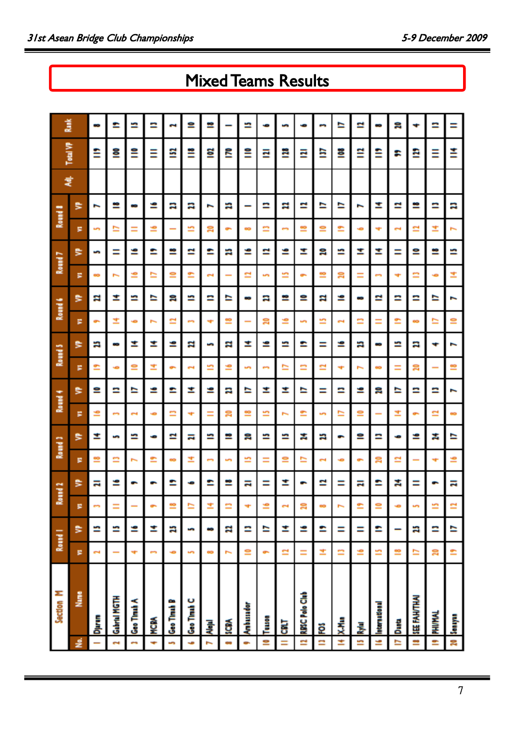# Mixed Teams Results

|     | Section M             |            | Round I | ā | und 2 |    | Round 3 |                          | Round 4 |                          | Round 5 |                          | Round 6 |           | Round 7 |                | Round & | 芝 | Total VP | ă |
|-----|-----------------------|------------|---------|---|-------|----|---------|--------------------------|---------|--------------------------|---------|--------------------------|---------|-----------|---------|----------------|---------|---|----------|---|
|     | š                     | ø          | ₿       | ø | ₿     | ×  | ₿       | ×                        | ₿       | ×                        | ₿       | ×                        | ₿       | F         | ₿       | ×              | ₿       |   |          |   |
|     | Djaran                | 2          | n       |   | 급     | ≌  | ≠       | ≝                        | ≘       | ≘                        | ÷       | i                        | 2       | œ         | S       | S              | ∼       |   | ≘        | œ |
|     | <b>Gabrial MGTH</b>   |            | n       | Ξ | ≌     | ≘  | S       | <b>CO</b>                | ⋍       | ÷                        | œ       | Ŧ,                       | ≊       | ∼         | Ξ       | n              | ≌       |   | 을        | ≏ |
|     | Geo Timah A           | ÷          | ⋍       |   | ٠     | ∼  | n       | 2                        | ≏       | ≘                        | ≠       | ÷                        | n       | ⋍         | ⋍       | Ξ              | œ       |   | ≝        | ⋍ |
|     | <b>MCBY</b>           | ÷          | ≛       |   |       | ≘  | ÷       | ÷                        | ⋍       | 芏                        | ≛       | $\overline{\phantom{a}}$ | ⋍       | ⋍         | ≏       | ≌              | ⋍       |   | Ξ        | ≘ |
|     | Geo Tinuh B           | ÷          | R       |   | ≏     | œ  | ≃       | n                        | ≏       | ÷                        | ⋍       | ≃                        | 읏       | ₽         | ≌       | -              | a       |   | ≊        | 2 |
|     | Geo Timah C           | <b>Sep</b> | S       | ⋍ |       | 호  | 급       | ÷                        | ≊       | $\overline{\phantom{a}}$ | 2       | en.                      | n       | ≘         | ≃       | m              | a       |   | ≝        | ≘ |
|     | 륯                     | œ          | æ       |   | ≏     | e, | n       | Ξ                        | ≝       | m                        | S       | ÷                        | ≘       | 2         | ≏       | g              | ī       |   | 럴        | 은 |
|     | ទី                    | ∼          | R       |   | ≌     | S  | 르       | g                        | a       | ≌                        | s       | ≌                        | ⋍       | -         | a       | ÷              | a       |   | <b>i</b> |   |
|     | Ambussdor             | ≘          | ≘       |   | H     | n  | g       | ≌                        | ≃       | S                        | ≛       |                          | œ       | ≃         | ⋍       | œ              |         |   | ≅        | n |
|     | Īusa                  | ÷          | ⋍       | ⋍ | Ξ     | Ξ  | n       | m                        | ≠       | <b>CO</b>                | ⋍       | ន                        | a       | s         | ≃       | ≘              | ≘       |   | Ξ        |   |
|     | ä                     | ≌          | Ī       | 2 | Ï     | ≘  | n       | $\overline{\phantom{0}}$ | ≊       | n                        | n       | £                        | 르       | m         | ⋍       | ÷              | ×       |   | Ξ        | S |
| ÷   | <b>RBSC Polo Club</b> | Ξ          | ≝       | g |       | ⋍  | ×.      | ≏                        | ≃       | ≘                        | ≏       | S                        | ≘       | ٠         | Ξ       | ≌              | ≃       |   | Ξ        |   |
|     | ë                     | Ħ,         | ≏       |   | ≃     | 2  | a       | S                        | Ξ       | n                        | Ξ       | ⋍                        | E       | ≌         | g       | ≘              | ⋍       |   | ≘        | B |
|     | ж.<br>Х               | n          | Ξ       |   | Ξ     | ÷  | ٠       | n                        | ≘       | ÷                        | ≌       | 2                        | ⋍       | ន         | n       | ≏              | ⋍       |   | 을        | ⋍ |
| un, | 륯                     | ÷.         | Ξ       |   | 급     | ÷  | ≘       | ≌                        | ⋍       | ∼                        | ÷       | n                        | œ       | Ξ         | I       | ÷              | r.      |   | ≌        | n |
|     | <b>International</b>  | n          | ≏       | ≘ | ≏     | ន  | ≘       |                          | g       | œ                        | œ       | Ξ                        | ≃       | <b>CO</b> | Ξ       | ÷              | Ξ       |   | ≘        | œ |
|     | <b>Dunta</b>          | ≌          |         |   | ×.    | ≈  | ÷       | 호                        | ⋍       | Ξ                        | n       | ≏                        | ≘       | ÷         | Ξ       | -              | ≃       |   | r        | 읏 |
|     | <b>MHLIMH 338</b>     | n          | A       |   | Ξ     | -  | ≌       | ٠                        | ≘       | ສ                        | э       | œ                        | ≘       | n         | ≘       | ≈              | ≌       |   | ₿        |   |
|     | <b>PHI/MAL</b>        | ສ          | ≘       | n |       | ÷  | ×.      | ≃                        | ≘       |                          | ۰       | ⋍                        | ⋍       | ÷         | ≌       | 芏              | ⋍       |   | Ξ        | ≘ |
| ន្ត | Sanyan                | ≘          | n       | ≊ | 급     | ≌  | n       | 6                        | ∼       | ≌                        | ∼       | ≘                        | ī       | 弍         | n       | $\overline{ }$ | a       |   | ≛        | Ξ |